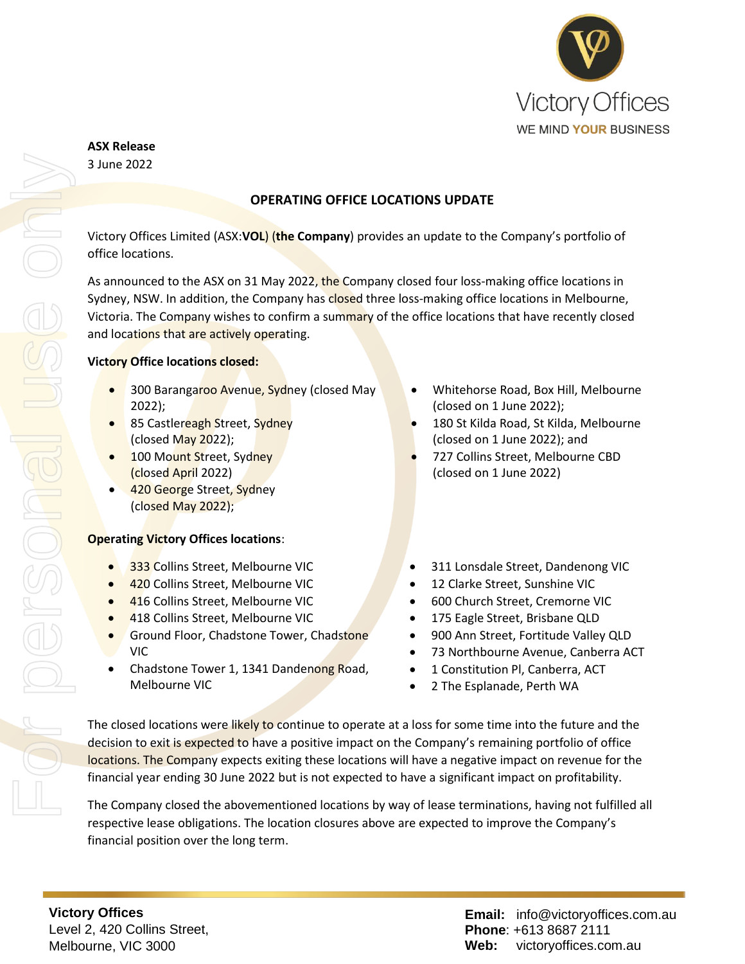

# **ASX Release**

3 June 2022

# **OPERATING OFFICE LOCATIONS UPDATE**

Victory Offices Limited (ASX:**VOL**) (**the Company**) provides an update to the Company's portfolio of office locations.

As announced to the ASX on 31 May 2022, the Company closed four loss-making office locations in Sydney, NSW. In addition, the Company has closed three loss-making office locations in Melbourne, Victoria. The Company wishes to confirm a summary of the office locations that have recently closed and locations that are actively operating.

#### **Victory Office locations closed:**

- 300 Barangaroo Avenue, Sydney (closed May 2022);
- 85 Castlereagh Street, Sydney (closed  $May 2022$ );
- 100 Mount Street, Sydney (closed April 2022)
- 420 George Street, Sydney (closed May 2022);

#### **Operating Victory Offices locations**:

- 333 Collins Street, Melbourne VIC
- **420 Collins Street, Melbourne VIC**
- **416 Collins Street, Melbourne VIC**
- **418 Collins Street, Melbourne VIC**
- **Ground Floor, Chadstone Tower, Chadstone** VIC
- Chadstone Tower 1, 1341 Dandenong Road, Melbourne VIC
- Whitehorse Road, Box Hill, Melbourne (closed on 1 June 2022);
- 180 St Kilda Road, St Kilda, Melbourne (closed on 1 June 2022); and
- 727 Collins Street, Melbourne CBD (closed on 1 June 2022)
- 311 Lonsdale Street, Dandenong VIC
- 12 Clarke Street, Sunshine VIC
- 600 Church Street, Cremorne VIC
- 175 Eagle Street, Brisbane QLD
- 900 Ann Street, Fortitude Valley QLD
- 73 Northbourne Avenue, Canberra ACT
- 1 Constitution Pl, Canberra, ACT
- 2 The Esplanade, Perth WA

The closed locations were likely to continue to operate at a loss for some time into the future and the decision to exit is expected to have a positive impact on the Company's remaining portfolio of office locations. The Company expects exiting these locations will have a negative impact on revenue for the financial year ending 30 June 2022 but is not expected to have a significant impact on profitability.

The Company closed the abovementioned locations by way of lease terminations, having not fulfilled all respective lease obligations. The location closures above are expected to improve the Company's financial position over the long term.

**Victory Offices**  Level 2, 420 Collins Street, Melbourne, VIC 3000

**Email:** info@victoryoffices.com.au **Phone**: +613 8687 2111 **Web:** victoryoffices.com.au